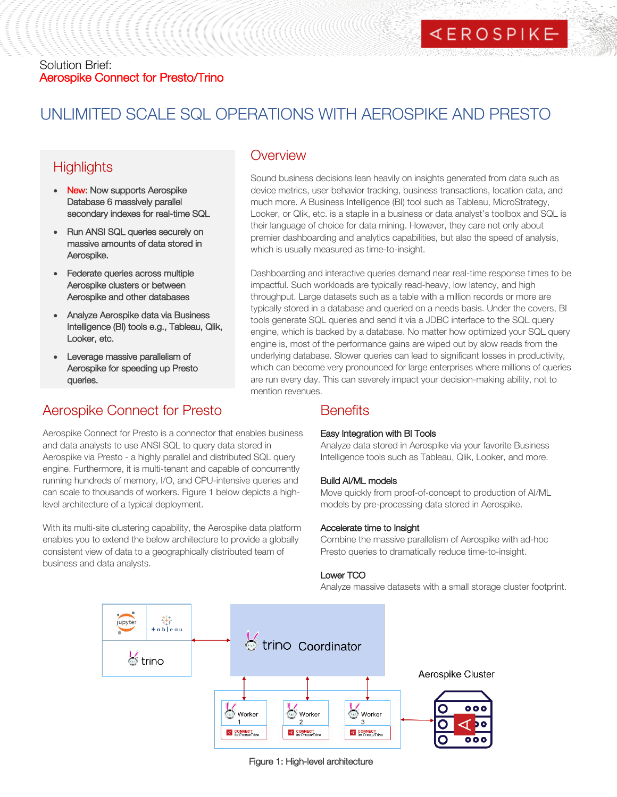# Solution Brief: Aerospike Connect for Presto/Trino

# UNLIMITED SCALE SQL OPERATIONS WITH AEROSPIKE AND PRESTO

# **Highlights**

- New: Now supports Aerospike Database 6 massively parallel secondary indexes for real-time SQL
- Run ANSI SQL queries securely on massive amounts of data stored in Aerospike.
- Federate queries across multiple Aerospike clusters or between Aerospike and other databases
- Analyze Aerospike data via Business Intelligence (BI) tools e.g., Tableau, Qlik, Looker, etc.
- Leverage massive parallelism of Aerospike for speeding up Presto queries.

# Aerospike Connect for Presto

Aerospike Connect for Presto is a connector that enables business and data analysts to use ANSI SQL to query data stored in Aerospike via Presto - a highly parallel and distributed SQL query engine. Furthermore, it is multi-tenant and capable of concurrently running hundreds of memory, I/O, and CPU-intensive queries and can scale to thousands of workers. Figure 1 below depicts a highlevel architecture of a typical deployment.

With its multi-site clustering capability, the Aerospike data platform enables you to extend the below architecture to provide a globally consistent view of data to a geographically distributed team of business and data analysts.

# **Overview**

HELL COLONOMIC COMMUNIST

Sound business decisions lean heavily on insights generated from data such as device metrics, user behavior tracking, business transactions, location data, and much more. A Business Intelligence (BI) tool such as Tableau, MicroStrategy, Looker, or Qlik, etc. is a staple in a business or data analyst's toolbox and SQL is their language of choice for data mining. However, they care not only about premier dashboarding and analytics capabilities, but also the speed of analysis, which is usually measured as time-to-insight.

Dashboarding and interactive queries demand near real-time response times to be impactful. Such workloads are typically read-heavy, low latency, and high throughput. Large datasets such as a table with a million records or more are typically stored in a database and queried on a needs basis. Under the covers, BI tools generate SQL queries and send it via a JDBC interface to the SQL query engine, which is backed by a database. No matter how optimized your SQL query engine is, most of the performance gains are wiped out by slow reads from the underlying database. Slower queries can lead to significant losses in productivity, which can become very pronounced for large enterprises where millions of queries are run every day. This can severely impact your decision-making ability, not to mention revenues.

# **Benefits**

# Easy Integration with BI Tools

Analyze data stored in Aerospike via your favorite Business Intelligence tools such as Tableau, Qlik, Looker, and more.

# Build AI/ML models

Move quickly from proof-of-concept to production of AI/ML models by pre-processing data stored in Aerospike.

## Accelerate time to Insight

Combine the massive parallelism of Aerospike with ad-hoc Presto queries to dramatically reduce time-to-insight.

## Lower TCO

Analyze massive datasets with a small storage cluster footprint.



Figure 1: High-level architecture